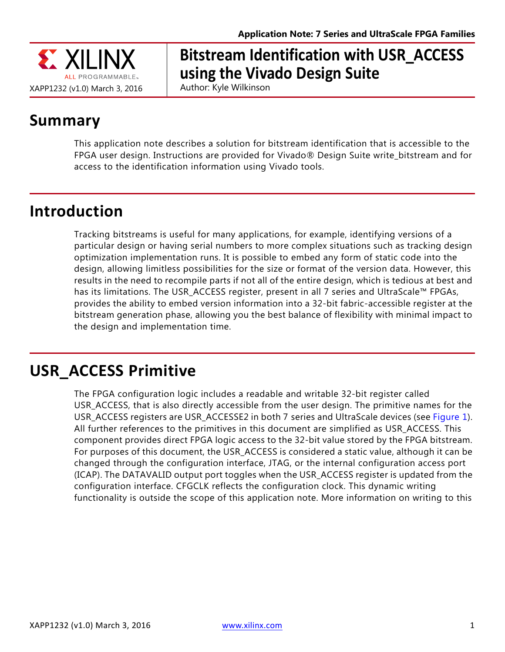

# **Bitstream Identification with USR\_ACCESS using the Vivado Design Suite**

Author: Kyle Wilkinson

## **Summary**

This application note describes a solution for bitstream identification that is accessible to the FPGA user design. Instructions are provided for Vivado® Design Suite write\_bitstream and for access to the identification information using Vivado tools.

## **Introduction**

Tracking bitstreams is useful for many applications, for example, identifying versions of a particular design or having serial numbers to more complex situations such as tracking design optimization implementation runs. It is possible to embed any form of static code into the design, allowing limitless possibilities for the size or format of the version data. However, this results in the need to recompile parts if not all of the entire design, which is tedious at best and has its limitations. The USR\_ACCESS register, present in all 7 series and UltraScale™ FPGAs, provides the ability to embed version information into a 32-bit fabric-accessible register at the bitstream generation phase, allowing you the best balance of flexibility with minimal impact to the design and implementation time.

## **USR\_ACCESS Primitive**

The FPGA configuration logic includes a readable and writable 32-bit register called USR\_ACCESS, that is also directly accessible from the user design. The primitive names for the USR\_ACCESS registers are USR\_ACCESSE2 in both 7 series and UltraScale devices (see [Figure 1\)](#page-1-0). All further references to the primitives in this document are simplified as USR\_ACCESS. This component provides direct FPGA logic access to the 32-bit value stored by the FPGA bitstream. For purposes of this document, the USR\_ACCESS is considered a static value, although it can be changed through the configuration interface, JTAG, or the internal configuration access port (ICAP). The DATAVALID output port toggles when the USR\_ACCESS register is updated from the configuration interface. CFGCLK reflects the configuration clock. This dynamic writing functionality is outside the scope of this application note. More information on writing to this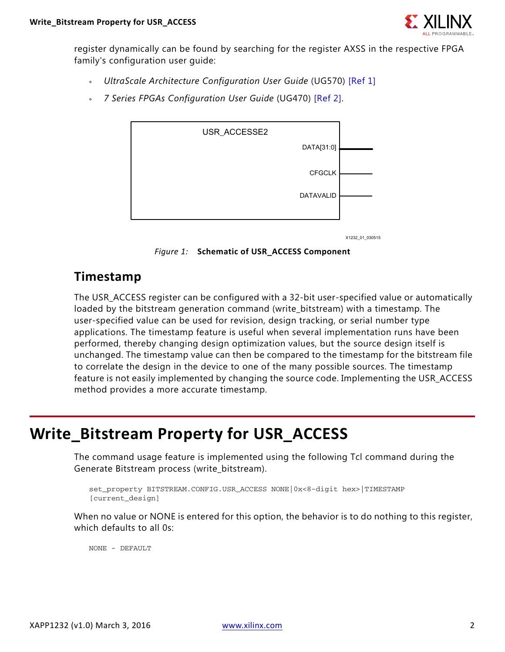

register dynamically can be found by searching for the register AXSS in the respective FPGA family's configuration user guide:

- ° *UltraScale Architecture Configuration User Guide* (UG570) [\[Ref 1\]](#page-7-0)
- <span id="page-1-0"></span>° *7 Series FPGAs Configuration User Guide* (UG470) [\[Ref 2\]](#page-7-1).



X1232\_01\_030515

*Figure 1:* **Schematic of USR\_ACCESS Component**

#### **Timestamp**

The USR\_ACCESS register can be configured with a 32-bit user-specified value or automatically loaded by the bitstream generation command (write\_bitstream) with a timestamp. The user-specified value can be used for revision, design tracking, or serial number type applications. The timestamp feature is useful when several implementation runs have been performed, thereby changing design optimization values, but the source design itself is unchanged. The timestamp value can then be compared to the timestamp for the bitstream file to correlate the design in the device to one of the many possible sources. The timestamp feature is not easily implemented by changing the source code. Implementing the USR\_ACCESS method provides a more accurate timestamp.

## **Write\_Bitstream Property for USR\_ACCESS**

The command usage feature is implemented using the following Tcl command during the Generate Bitstream process (write\_bitstream).

```
set_property BITSTREAM.CONFIG.USR_ACCESS NONE|0x<8-digit hex>|TIMESTAMP 
[current_design]
```
When no value or NONE is entered for this option, the behavior is to do nothing to this register, which defaults to all 0s:

NONE - DEFAULT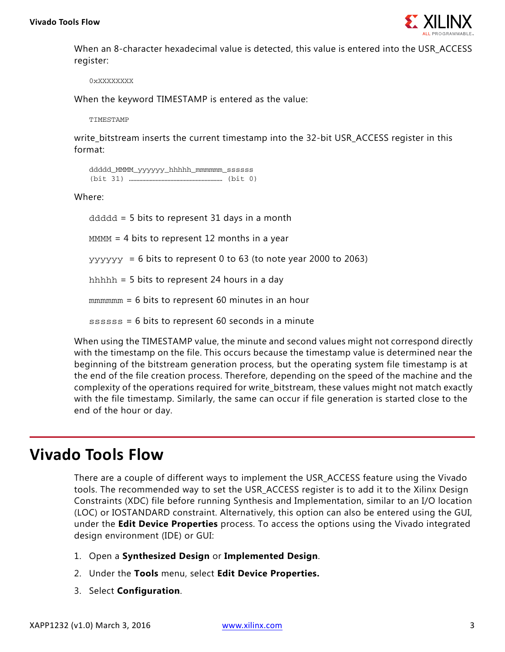

When an 8-character hexadecimal value is detected, this value is entered into the USR\_ACCESS register:

0xXXXXXXXX

When the keyword TIMESTAMP is entered as the value:

TIMESTAMP

write\_bitstream inserts the current timestamp into the 32-bit USR\_ACCESS register in this format:

```
ddddd_MMMM_yyyyyy_hhhhh_mmmmmm_ssssss
(bit 31) ……………………………………………………… (bit 0)
```
Where:

 $d d d d = 5$  bits to represent 31 days in a month  $M_{M}$  = 4 bits to represent 12 months in a year

 $y \rightarrow y \rightarrow y \rightarrow y \rightarrow z$  = 6 bits to represent 0 to 63 (to note year 2000 to 2063)

hhhhh = 5 bits to represent 24 hours in a day

mmmmmm = 6 bits to represent 60 minutes in an hour

ssssss = 6 bits to represent 60 seconds in a minute

When using the TIMESTAMP value, the minute and second values might not correspond directly with the timestamp on the file. This occurs because the timestamp value is determined near the beginning of the bitstream generation process, but the operating system file timestamp is at the end of the file creation process. Therefore, depending on the speed of the machine and the complexity of the operations required for write\_bitstream, these values might not match exactly with the file timestamp. Similarly, the same can occur if file generation is started close to the end of the hour or day.

### **Vivado Tools Flow**

There are a couple of different ways to implement the USR\_ACCESS feature using the Vivado tools. The recommended way to set the USR\_ACCESS register is to add it to the Xilinx Design Constraints (XDC) file before running Synthesis and Implementation, similar to an I/O location (LOC) or IOSTANDARD constraint. Alternatively, this option can also be entered using the GUI, under the **Edit Device Properties** process. To access the options using the Vivado integrated design environment (IDE) or GUI:

- 1. Open a **Synthesized Design** or **Implemented Design**.
- 2. Under the **Tools** menu, select **Edit Device Properties.**
- 3. Select **Configuration**.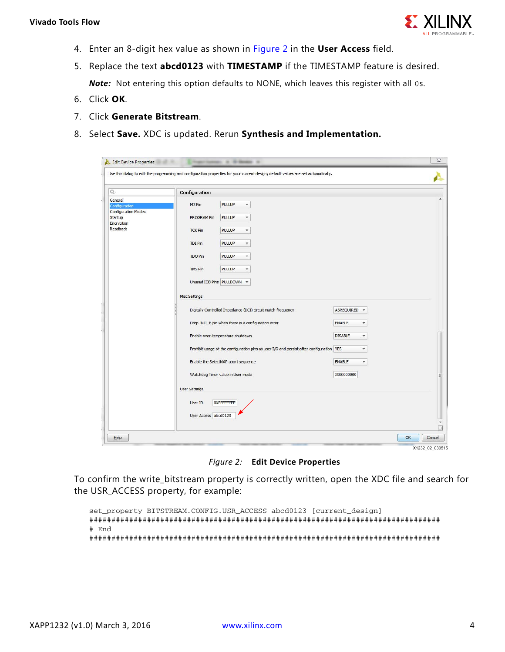

- 4. Enter an 8-digit hex value as shown in [Figure 2](#page-3-0) in the **User Access** field.
- 5. Replace the text **abcd0123** with **TIMESTAMP** if the TIMESTAMP feature is desired. *Note:* Not entering this option defaults to NONE, which leaves this register with all 0s.
- 6. Click **OK**.
- 7. Click **Generate Bitstream**.
- <span id="page-3-0"></span>8. Select **Save.** XDC is updated. Rerun **Synthesis and Implementation.**

| $Q -$                                                             | Configuration                                                                                                                                                                  |                                                                           |                                           |  |
|-------------------------------------------------------------------|--------------------------------------------------------------------------------------------------------------------------------------------------------------------------------|---------------------------------------------------------------------------|-------------------------------------------|--|
| General<br>Configuration<br><b>Configuration Modes</b><br>Startup | M <sub>2</sub> Pin<br>PROGRAM Pin                                                                                                                                              | <b>PULLUP</b><br>$\mathbf{v}$<br><b>PULLUP</b><br>$\overline{\mathbf{v}}$ |                                           |  |
| Encryption<br>Readback                                            | <b>TCK Pin</b>                                                                                                                                                                 | <b>PULLUP</b><br>۰                                                        |                                           |  |
|                                                                   | <b>TDI Pin</b>                                                                                                                                                                 | <b>PULLUP</b><br>$\overline{\mathbf{v}}$                                  |                                           |  |
|                                                                   | <b>TDO Pin</b><br><b>TMS Pin</b>                                                                                                                                               | <b>PULLUP</b><br>$\blacktriangledown$<br><b>PULLUP</b><br>▼               |                                           |  |
|                                                                   | Unused IOB Pins PULLDOWN -                                                                                                                                                     |                                                                           |                                           |  |
|                                                                   | Misc Settings                                                                                                                                                                  |                                                                           |                                           |  |
|                                                                   |                                                                                                                                                                                | Digitally Controlled Impedance (DCI) circuit match frequency              | ASREQUIRED -                              |  |
|                                                                   |                                                                                                                                                                                | Drop INIT_B pin when there is a configuration error                       | <b>ENABLE</b><br>$\overline{\mathbf v}$   |  |
|                                                                   | Enable over-temperature shutdown<br>$\overline{\mathbf{v}}$                                                                                                                    |                                                                           | <b>DISABLE</b><br>$\overline{\mathbf{v}}$ |  |
|                                                                   | Prohibit usage of the configuration pins as user I/O and persist after configuration   YES<br>Enable the SelectMAP abort sequence<br><b>ENABLE</b><br>$\overline{\phantom{a}}$ |                                                                           |                                           |  |
|                                                                   | Watchdog Timer value in User mode<br>0X00000000                                                                                                                                |                                                                           |                                           |  |
|                                                                   | <b>User Settings</b>                                                                                                                                                           |                                                                           |                                           |  |
|                                                                   | User ID<br>User Access abcd0123                                                                                                                                                | <b>OXFFFFFFFF</b>                                                         |                                           |  |

X1232\_02\_030515

*Figure 2:* **Edit Device Properties**

To confirm the write\_bitstream property is correctly written, open the XDC file and search for the USR\_ACCESS property, for example:

```
set property BITSTREAM.CONFIG.USR ACCESS abcd0123 [current design]
###############################################################################
# End
###############################################################################
```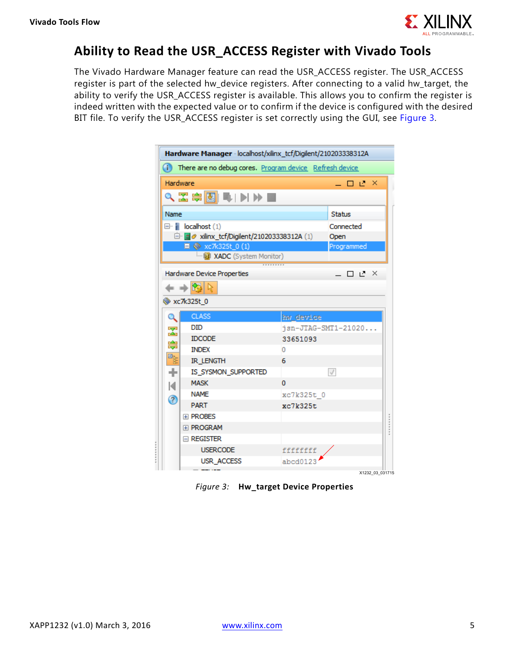

#### **Ability to Read the USR\_ACCESS Register with Vivado Tools**

<span id="page-4-0"></span>The Vivado Hardware Manager feature can read the USR\_ACCESS register. The USR\_ACCESS register is part of the selected hw\_device registers. After connecting to a valid hw\_target, the ability to verify the USR\_ACCESS register is available. This allows you to confirm the register is indeed written with the expected value or to confirm if the device is configured with the desired BIT file. To verify the USR\_ACCESS register is set correctly using the GUI, see [Figure 3](#page-4-0).

| Hardware Manager - localhost/xilinx_tcf/Digilent/210203338312A |                                          |            |                     |  |  |  |
|----------------------------------------------------------------|------------------------------------------|------------|---------------------|--|--|--|
| (i) There are no debug cores. Program device Refresh device    |                                          |            |                     |  |  |  |
| Hardware<br>- □ L ×                                            |                                          |            |                     |  |  |  |
| འΣ⊜◙▐い▶■                                                       |                                          |            |                     |  |  |  |
| Name<br><b>Status</b>                                          |                                          |            |                     |  |  |  |
|                                                                | $\Box$   localhost (1)                   |            | Connected           |  |  |  |
|                                                                | □ a clinx_tcf/Digilent/210203338312A (1) |            | Open                |  |  |  |
| ■ ◇ xc7k325t_0 (1)                                             |                                          |            | Programmed          |  |  |  |
| <b>ExADC</b> (System Monitor)                                  |                                          |            |                     |  |  |  |
|                                                                |                                          |            |                     |  |  |  |
|                                                                | Hardware Device Properties               |            | _ □ L ×             |  |  |  |
|                                                                | $+$ 2 $\frac{1}{2}$                      |            |                     |  |  |  |
|                                                                | <b>W</b> xc7k325t 0                      |            |                     |  |  |  |
|                                                                | CLASS                                    | hw device  |                     |  |  |  |
| $\mathbf{z}$<br>隐                                              | <b>DID</b>                               |            | jsn-JTAG-SMT1-21020 |  |  |  |
|                                                                | <b>IDCODE</b>                            | 33651093   |                     |  |  |  |
|                                                                | <b>INDEX</b>                             | 0          |                     |  |  |  |
| 臀                                                              | <b>IR_LENGTH</b>                         | 6          |                     |  |  |  |
| ÷                                                              | IS_SYSMON_SUPPORTED                      |            | $\sqrt{}$           |  |  |  |
| к<br>ᢙ                                                         | <b>MASK</b>                              | 0          |                     |  |  |  |
|                                                                | <b>NAME</b>                              | xc7k325t 0 |                     |  |  |  |
|                                                                | <b>PART</b>                              | xc7k325t   |                     |  |  |  |
|                                                                | <b>EL PROBES</b>                         |            |                     |  |  |  |
|                                                                | E PROGRAM                                |            |                     |  |  |  |
|                                                                | $\Box$ Register                          |            |                     |  |  |  |
|                                                                | <b>USERCODE</b>                          | fffffffff  |                     |  |  |  |
|                                                                | USR_ACCESS                               | abcd0123   |                     |  |  |  |
|                                                                |                                          |            | X1232 03 031715     |  |  |  |

*Figure 3:* **Hw\_target Device Properties**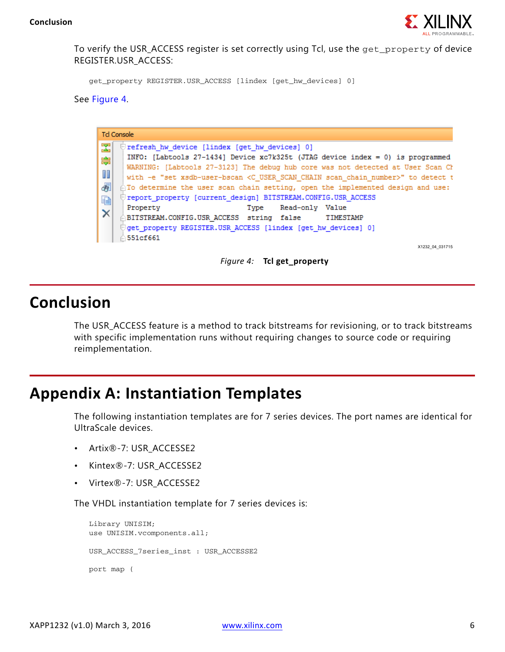

To verify the USR\_ACCESS register is set correctly using Tcl, use the get\_property of device REGISTER.USR\_ACCESS:

get\_property REGISTER.USR\_ACCESS [lindex [get\_hw\_devices] 0]

<span id="page-5-0"></span>See [Figure 4](#page-5-0).

| <b>Td Console</b>                                                                                                                                                                                                                                                                                                                                                                                                                                                                                                                                                                                                                                                                                                                                                   |                 |  |  |
|---------------------------------------------------------------------------------------------------------------------------------------------------------------------------------------------------------------------------------------------------------------------------------------------------------------------------------------------------------------------------------------------------------------------------------------------------------------------------------------------------------------------------------------------------------------------------------------------------------------------------------------------------------------------------------------------------------------------------------------------------------------------|-----------------|--|--|
| $\overline{\mathbf{x}}$<br>refresh hw device [lindex [get hw devices] 0]<br>INFO: [Labtools 27-1434] Device xc7k325t (JTAG device index = 0) is programmed<br>鼻<br>WARNING: [Labtools 27-3123] The debug hub core was not detected at User Scan Cl<br>Ш<br>with -e "set xsdb-user-bscan <c chain="" number="" scan="" user="">" to detect t<br/>硐<br/><math>\hat{\mathbb{C}}</math>To determine the user scan chain setting, open the implemented design and use:<br/>(//report property [current design] BITSTREAM.CONFIG.USR ACCES<br/>重<br/>Read-only Value<br/>Property<br/>Type<br/><math>\times</math><br/>△BITSTREAM.CONFIG.USR ACCESS string false<br/>⊟qet property REGISTER.USR ACCESS [lindex [qet hw devices] 0]<br/><math>\triangle</math>551cf661</c> | TIMESTAMP       |  |  |
|                                                                                                                                                                                                                                                                                                                                                                                                                                                                                                                                                                                                                                                                                                                                                                     | X1232 04 031715 |  |  |



### **Conclusion**

The USR\_ACCESS feature is a method to track bitstreams for revisioning, or to track bitstreams with specific implementation runs without requiring changes to source code or requiring reimplementation.

### **Appendix A: Instantiation Templates**

The following instantiation templates are for 7 series devices. The port names are identical for UltraScale devices.

- Artix®-7: USR\_ACCESSE2
- Kintex®-7: USR\_ACCESSE2
- Virtex®-7: USR\_ACCESSE2

The VHDL instantiation template for 7 series devices is:

```
Library UNISIM;
use UNISIM.vcomponents.all;
USR_ACCESS_7series_inst : USR_ACCESSE2
port map (
```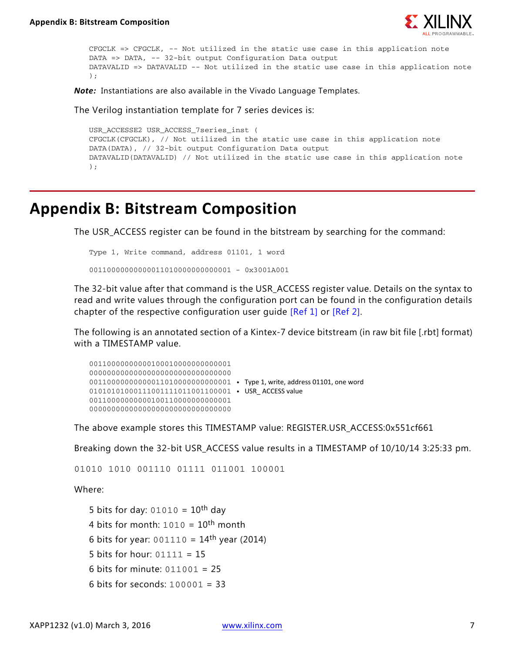

```
CFGCLK => CFGCLK, -- Not utilized in the static use case in this application note
DATA => DATA, -- 32-bit output Configuration Data output
DATAVALID => DATAVALID -- Not utilized in the static use case in this application note
);
```
*Note:* Instantiations are also available in the Vivado Language Templates.

The Verilog instantiation template for 7 series devices is:

```
USR_ACCESSE2 USR_ACCESS_7series_inst (
CFGCLK(CFGCLK), // Not utilized in the static use case in this application note
DATA(DATA), // 32-bit output Configuration Data output
DATAVALID(DATAVALID) // Not utilized in the static use case in this application note
);
```
### **Appendix B: Bitstream Composition**

The USR\_ACCESS register can be found in the bitstream by searching for the command:

```
Type 1, Write command, address 01101, 1 word
```
00110000000000011010000000000001 - 0x3001A001

The 32-bit value after that command is the USR\_ACCESS register value. Details on the syntax to read and write values through the configuration port can be found in the configuration details chapter of the respective configuration user quide [\[Ref 1\]](#page-7-0) or [\[Ref 2\].](#page-7-1)

The following is an annotated section of a Kintex-7 device bitstream (in raw bit file [.rbt] format) with a TIMESTAMP value.

```
00110000000000100010000000000001
00000000000000000000000000000000
00110000000000011010000000000001 • Type 1, write, address 01101, one word
010101010001110011110111001100001 • USR ACCESS value
00110000000000100110000000000001
00000000000000000000000000000000
```
The above example stores this TIMESTAMP value: REGISTER.USR\_ACCESS:0x551cf661

Breaking down the 32-bit USR\_ACCESS value results in a TIMESTAMP of 10/10/14 3:25:33 pm.

```
01010 1010 001110 01111 011001 100001
```
Where:

5 bits for day:  $01010 = 10$ <sup>th</sup> day 4 bits for month:  $1010 = 10$ <sup>th</sup> month 6 bits for year:  $001110 = 14$ <sup>th</sup> year (2014) 5 bits for hour:  $01111 = 15$ 6 bits for minute: 011001 = 25 6 bits for seconds: 100001 = 33